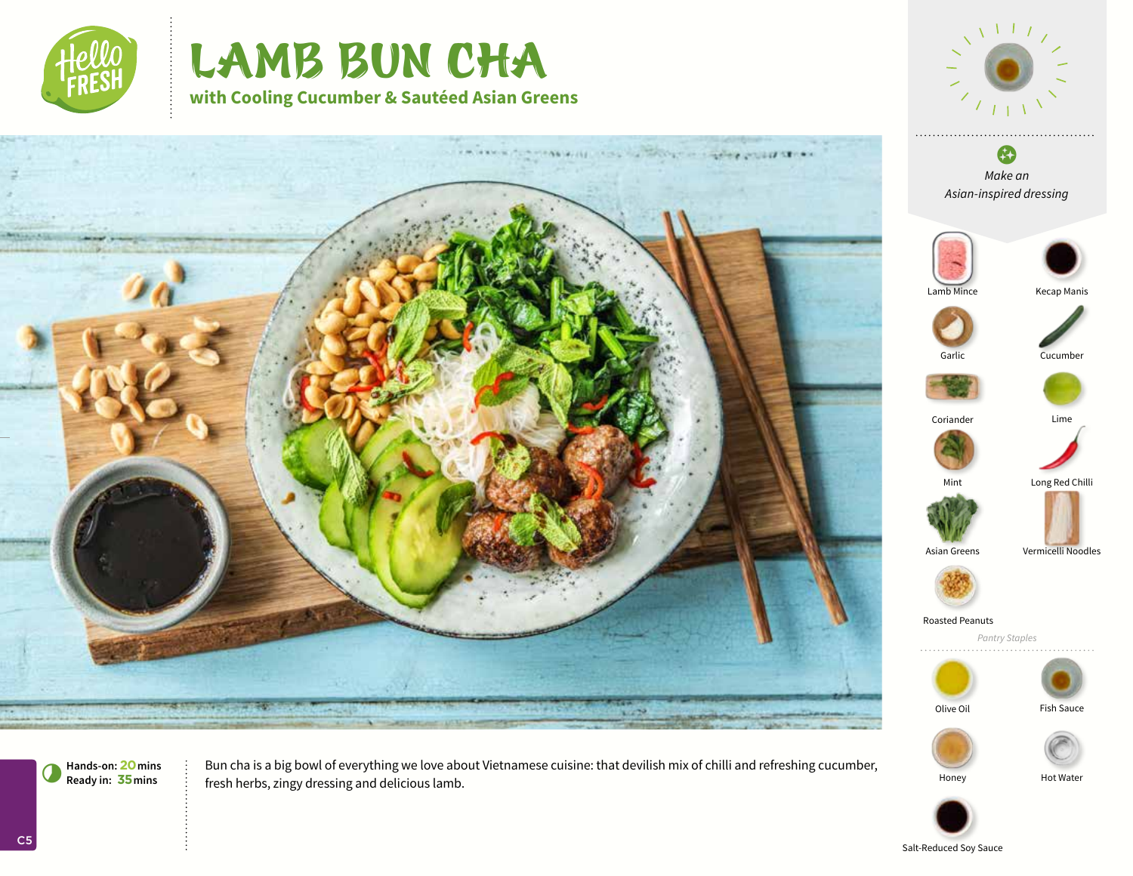

# LAMB BUN CHA **with Cooling Cucumber & Sautéed Asian Greens**



*Asian-inspired dressing*





**Hands-on: 20mins** 7**Ready in: 35mins**

Bun cha is a big bowl of everything we love about Vietnamese cuisine: that devilish mix of chilli and refreshing cucumber, fresh herbs, zingy dressing and delicious lamb.

Honey Hot Water



Salt-Reduced Soy Sauce